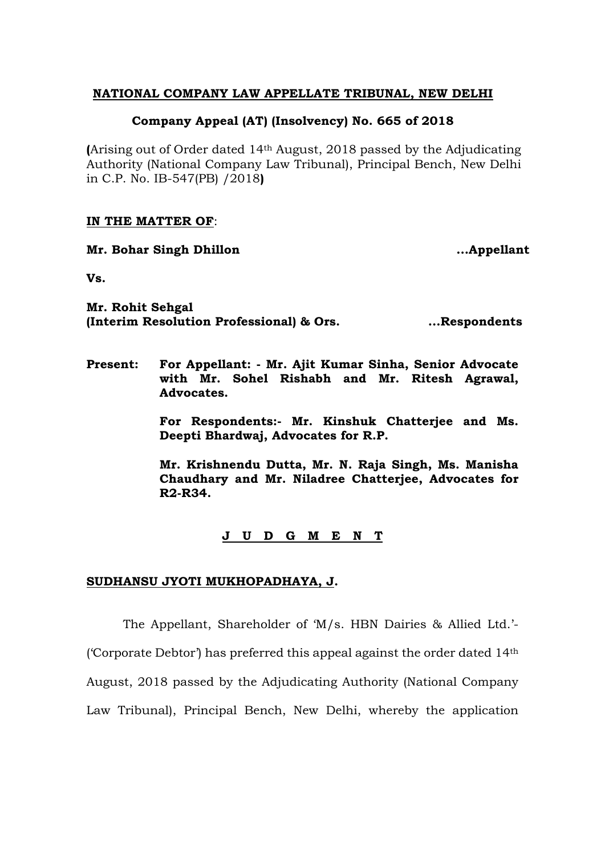# **NATIONAL COMPANY LAW APPELLATE TRIBUNAL, NEW DELHI**

# **Company Appeal (AT) (Insolvency) No. 665 of 2018**

**(**Arising out of Order dated 14th August, 2018 passed by the Adjudicating Authority (National Company Law Tribunal), Principal Bench, New Delhi in C.P. No. IB-547(PB) /2018**)**

#### **IN THE MATTER OF**:

**Mr. Bohar Singh Dhillon ....Appellant** 

**Vs.**

**Mr. Rohit Sehgal (Interim Resolution Professional) & Ors. ...Respondents**

**Present: For Appellant: - Mr. Ajit Kumar Sinha, Senior Advocate with Mr. Sohel Rishabh and Mr. Ritesh Agrawal, Advocates.**

> **For Respondents:- Mr. Kinshuk Chatterjee and Ms. Deepti Bhardwaj, Advocates for R.P.**

> **Mr. Krishnendu Dutta, Mr. N. Raja Singh, Ms. Manisha Chaudhary and Mr. Niladree Chatterjee, Advocates for R2-R34.**

# **J U D G M E N T**

#### **SUDHANSU JYOTI MUKHOPADHAYA, J.**

The Appellant, Shareholder of 'M/s. HBN Dairies & Allied Ltd.'- ('Corporate Debtor') has preferred this appeal against the order dated  $14<sup>th</sup>$ August, 2018 passed by the Adjudicating Authority (National Company Law Tribunal), Principal Bench, New Delhi, whereby the application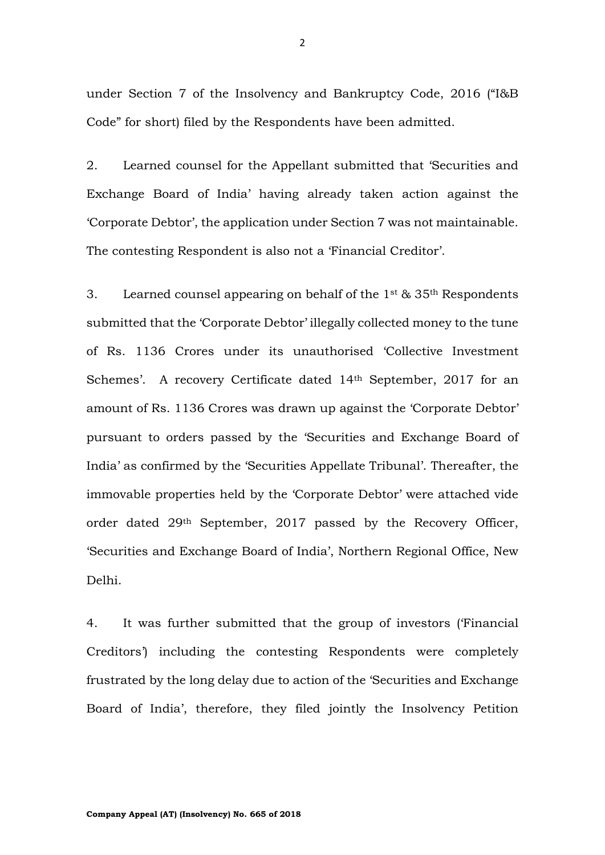under Section 7 of the Insolvency and Bankruptcy Code, 2016 ("I&B Code" for short) filed by the Respondents have been admitted.

2. Learned counsel for the Appellant submitted that 'Securities and Exchange Board of India' having already taken action against the 'Corporate Debtor', the application under Section 7 was not maintainable. The contesting Respondent is also not a 'Financial Creditor'.

3. Learned counsel appearing on behalf of the  $1^{st}$  &  $35^{th}$  Respondents submitted that the 'Corporate Debtor' illegally collected money to the tune of Rs. 1136 Crores under its unauthorised 'Collective Investment Schemes'. A recovery Certificate dated 14<sup>th</sup> September, 2017 for an amount of Rs. 1136 Crores was drawn up against the 'Corporate Debtor' pursuant to orders passed by the 'Securities and Exchange Board of India' as confirmed by the 'Securities Appellate Tribunal'. Thereafter, the immovable properties held by the 'Corporate Debtor' were attached vide order dated 29th September, 2017 passed by the Recovery Officer, 'Securities and Exchange Board of India', Northern Regional Office, New Delhi.

4. It was further submitted that the group of investors ('Financial Creditors') including the contesting Respondents were completely frustrated by the long delay due to action of the 'Securities and Exchange Board of India', therefore, they filed jointly the Insolvency Petition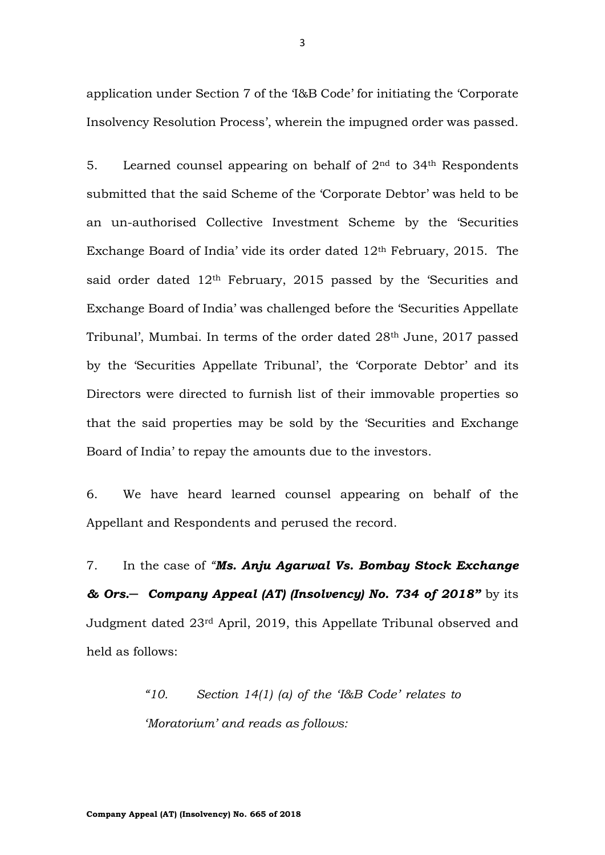application under Section 7 of the 'I&B Code' for initiating the 'Corporate Insolvency Resolution Process', wherein the impugned order was passed.

5. Learned counsel appearing on behalf of  $2<sup>nd</sup>$  to  $34<sup>th</sup>$  Respondents submitted that the said Scheme of the 'Corporate Debtor' was held to be an un-authorised Collective Investment Scheme by the 'Securities Exchange Board of India' vide its order dated 12th February, 2015. The said order dated  $12<sup>th</sup>$  February, 2015 passed by the 'Securities and Exchange Board of India' was challenged before the 'Securities Appellate Tribunal', Mumbai. In terms of the order dated 28th June, 2017 passed by the 'Securities Appellate Tribunal', the 'Corporate Debtor' and its Directors were directed to furnish list of their immovable properties so that the said properties may be sold by the 'Securities and Exchange Board of India' to repay the amounts due to the investors.

6. We have heard learned counsel appearing on behalf of the Appellant and Respondents and perused the record.

7. In the case of *"Ms. Anju Agarwal Vs. Bombay Stock Exchange & Ors.─ Company Appeal (AT) (Insolvency) No. 734 of 2018"* by its Judgment dated 23rd April, 2019, this Appellate Tribunal observed and held as follows:

> *"10. Section 14(1) (a) of the 'I&B Code' relates to 'Moratorium' and reads as follows:*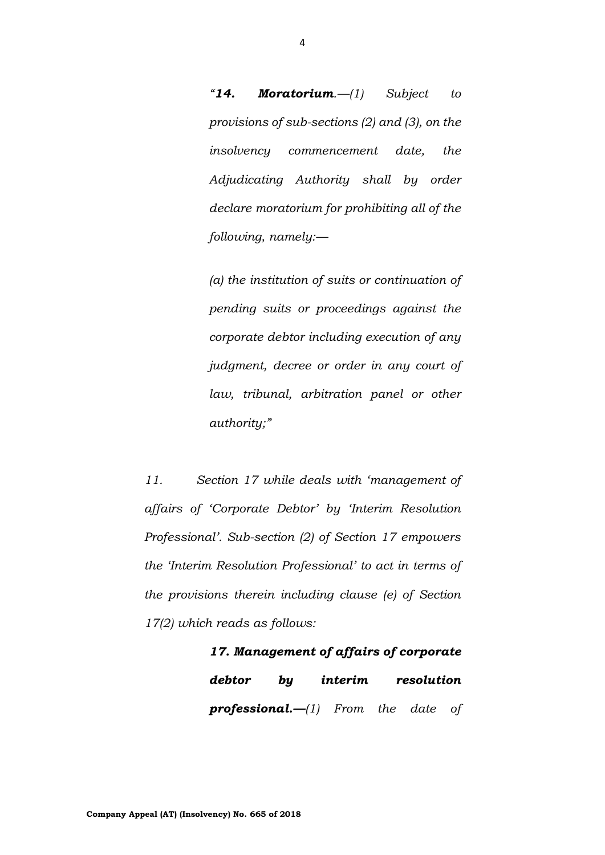*"14. Moratorium.—(1) Subject to provisions of sub-sections (2) and (3), on the insolvency commencement date, the Adjudicating Authority shall by order declare moratorium for prohibiting all of the following, namely:—*

*(a) the institution of suits or continuation of pending suits or proceedings against the corporate debtor including execution of any judgment, decree or order in any court of law, tribunal, arbitration panel or other authority;"*

*11. Section 17 while deals with 'management of affairs of 'Corporate Debtor' by 'Interim Resolution Professional'. Sub-section (2) of Section 17 empowers the 'Interim Resolution Professional' to act in terms of the provisions therein including clause (e) of Section 17(2) which reads as follows:*

> *17. Management of affairs of corporate debtor by interim resolution professional.—(1) From the date of*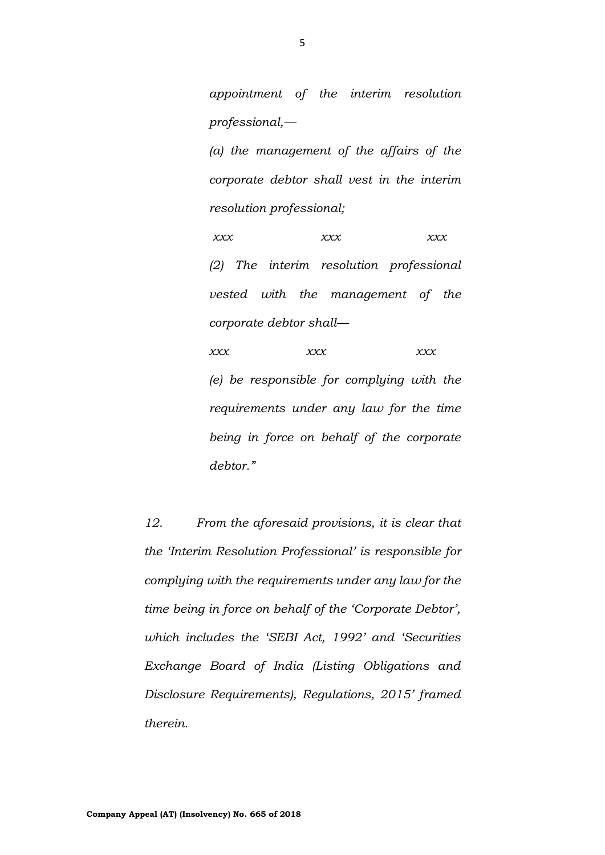*appointment of the interim resolution professional,—*

*(a) the management of the affairs of the corporate debtor shall vest in the interim resolution professional;*

*xxx xxx xxx (2) The interim resolution professional vested with the management of the corporate debtor shall—*

*xxx xxx xxx (e) be responsible for complying with the requirements under any law for the time being in force on behalf of the corporate debtor."*

*12. From the aforesaid provisions, it is clear that the 'Interim Resolution Professional' is responsible for complying with the requirements under any law for the time being in force on behalf of the 'Corporate Debtor', which includes the 'SEBI Act, 1992' and 'Securities Exchange Board of India (Listing Obligations and Disclosure Requirements), Regulations, 2015' framed therein.*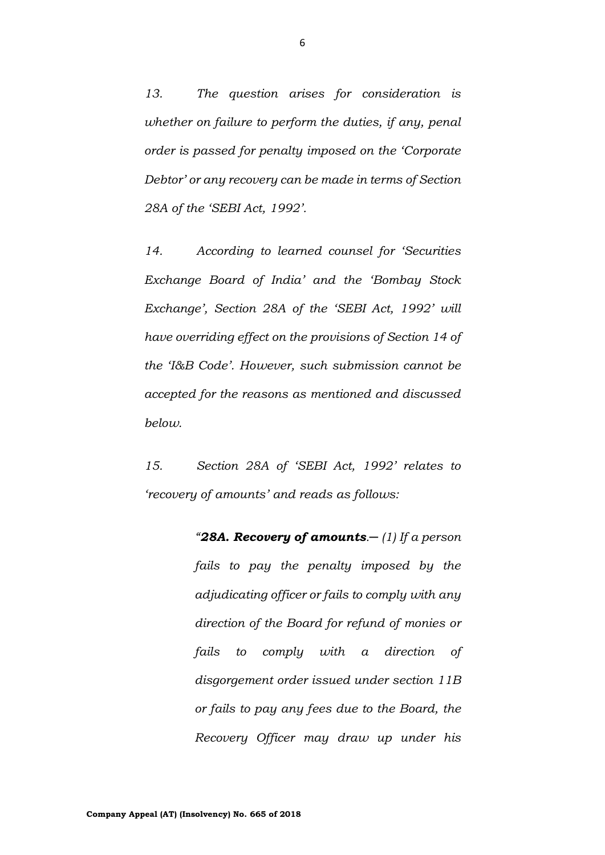*13. The question arises for consideration is whether on failure to perform the duties, if any, penal order is passed for penalty imposed on the 'Corporate Debtor' or any recovery can be made in terms of Section 28A of the 'SEBI Act, 1992'.*

*14. According to learned counsel for 'Securities Exchange Board of India' and the 'Bombay Stock Exchange', Section 28A of the 'SEBI Act, 1992' will have overriding effect on the provisions of Section 14 of the 'I&B Code'. However, such submission cannot be accepted for the reasons as mentioned and discussed below.*

*15. Section 28A of 'SEBI Act, 1992' relates to 'recovery of amounts' and reads as follows:*

> *"28A. Recovery of amounts.─ (1) If a person fails to pay the penalty imposed by the adjudicating officer or fails to comply with any direction of the Board for refund of monies or fails to comply with a direction of disgorgement order issued under section 11B or fails to pay any fees due to the Board, the Recovery Officer may draw up under his*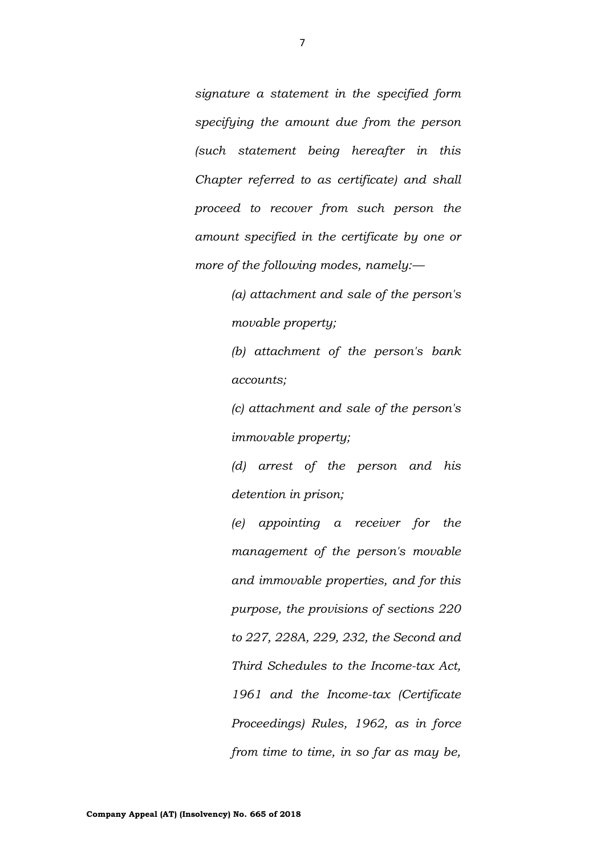*signature a statement in the specified form specifying the amount due from the person (such statement being hereafter in this Chapter referred to as certificate) and shall proceed to recover from such person the amount specified in the certificate by one or more of the following modes, namely:—*

> *(a) attachment and sale of the person's movable property;*

> *(b) attachment of the person's bank accounts;*

> *(c) attachment and sale of the person's immovable property;*

> *(d) arrest of the person and his detention in prison;*

> *(e) appointing a receiver for the management of the person's movable and immovable properties, and for this purpose, the provisions of sections 220 to 227, 228A, 229, 232, the Second and Third Schedules to the Income-tax Act, 1961 and the Income-tax (Certificate Proceedings) Rules, 1962, as in force from time to time, in so far as may be,*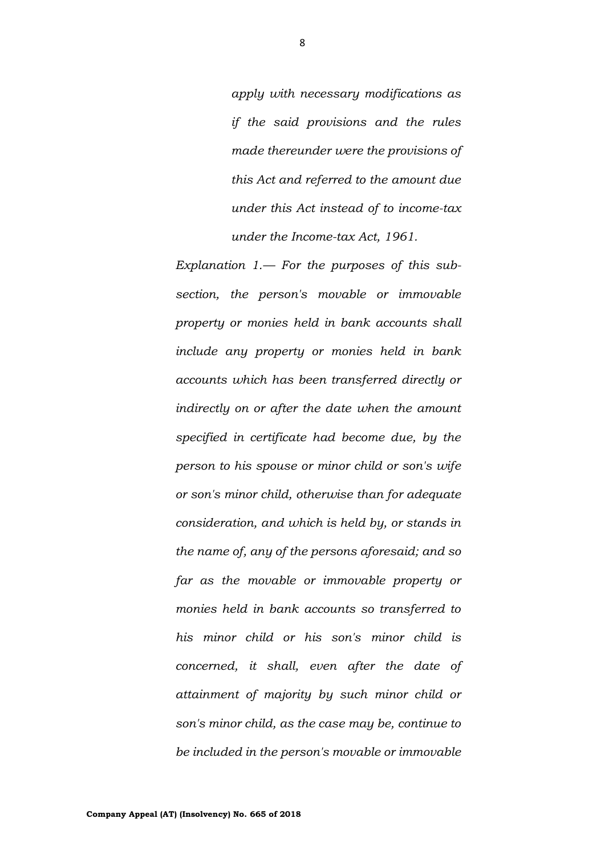*apply with necessary modifications as if the said provisions and the rules made thereunder were the provisions of this Act and referred to the amount due under this Act instead of to income-tax under the Income-tax Act, 1961.* 

*Explanation 1.— For the purposes of this subsection, the person's movable or immovable property or monies held in bank accounts shall include any property or monies held in bank accounts which has been transferred directly or indirectly on or after the date when the amount specified in certificate had become due, by the person to his spouse or minor child or son's wife or son's minor child, otherwise than for adequate consideration, and which is held by, or stands in the name of, any of the persons aforesaid; and so far as the movable or immovable property or monies held in bank accounts so transferred to his minor child or his son's minor child is concerned, it shall, even after the date of attainment of majority by such minor child or son's minor child, as the case may be, continue to be included in the person's movable or immovable*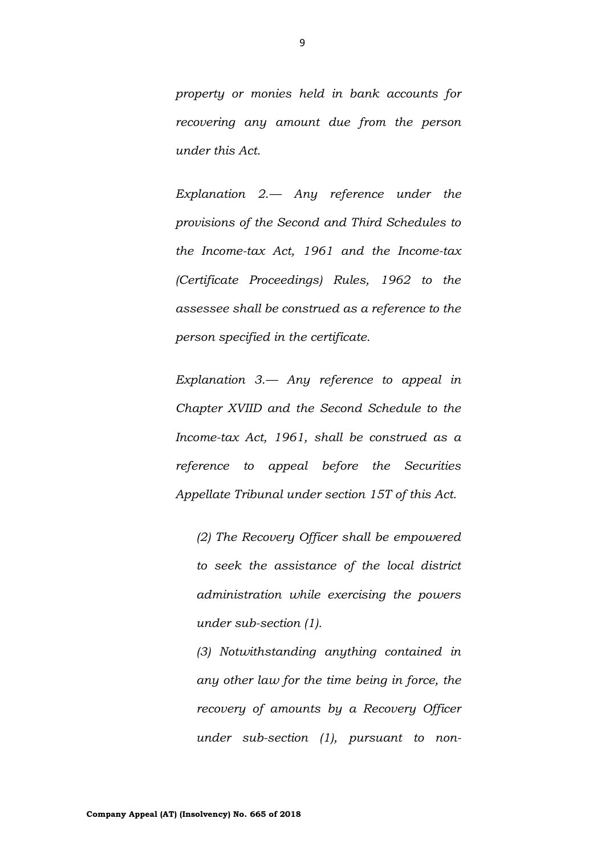*property or monies held in bank accounts for recovering any amount due from the person under this Act.*

*Explanation 2.— Any reference under the provisions of the Second and Third Schedules to the Income-tax Act, 1961 and the Income-tax (Certificate Proceedings) Rules, 1962 to the assessee shall be construed as a reference to the person specified in the certificate.*

*Explanation 3.— Any reference to appeal in Chapter XVIID and the Second Schedule to the Income-tax Act, 1961, shall be construed as a reference to appeal before the Securities Appellate Tribunal under section 15T of this Act.* 

*(2) The Recovery Officer shall be empowered to seek the assistance of the local district administration while exercising the powers under sub-section (1).* 

*(3) Notwithstanding anything contained in any other law for the time being in force, the recovery of amounts by a Recovery Officer under sub-section (1), pursuant to non-*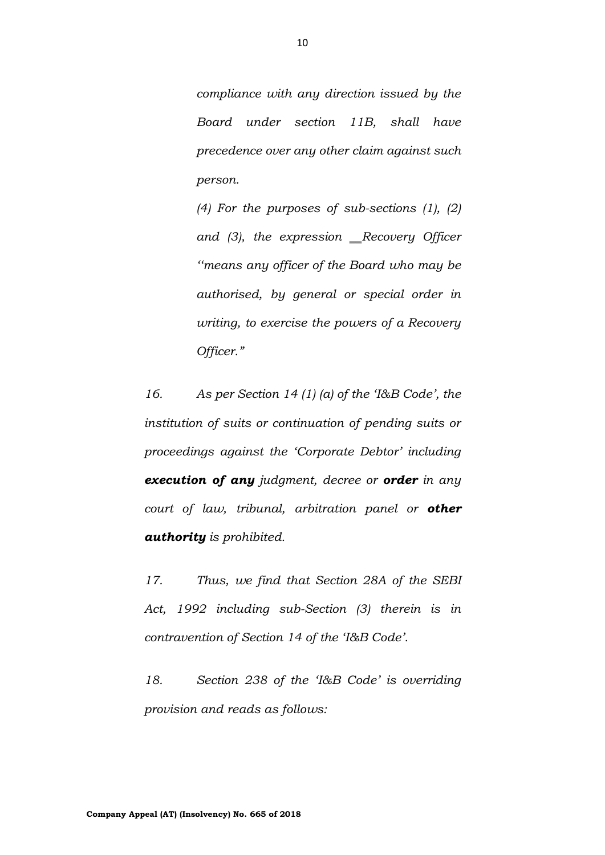*compliance with any direction issued by the Board under section 11B, shall have precedence over any other claim against such person.* 

*(4) For the purposes of sub-sections (1), (2)*  and (3), the expression \_Recovery Officer *''means any officer of the Board who may be authorised, by general or special order in writing, to exercise the powers of a Recovery Officer."*

*16. As per Section 14 (1) (a) of the 'I&B Code', the institution of suits or continuation of pending suits or proceedings against the 'Corporate Debtor' including execution of any judgment, decree or order in any court of law, tribunal, arbitration panel or other authority is prohibited.*

*17. Thus, we find that Section 28A of the SEBI Act, 1992 including sub-Section (3) therein is in contravention of Section 14 of the 'I&B Code'.*

*18. Section 238 of the 'I&B Code' is overriding provision and reads as follows:*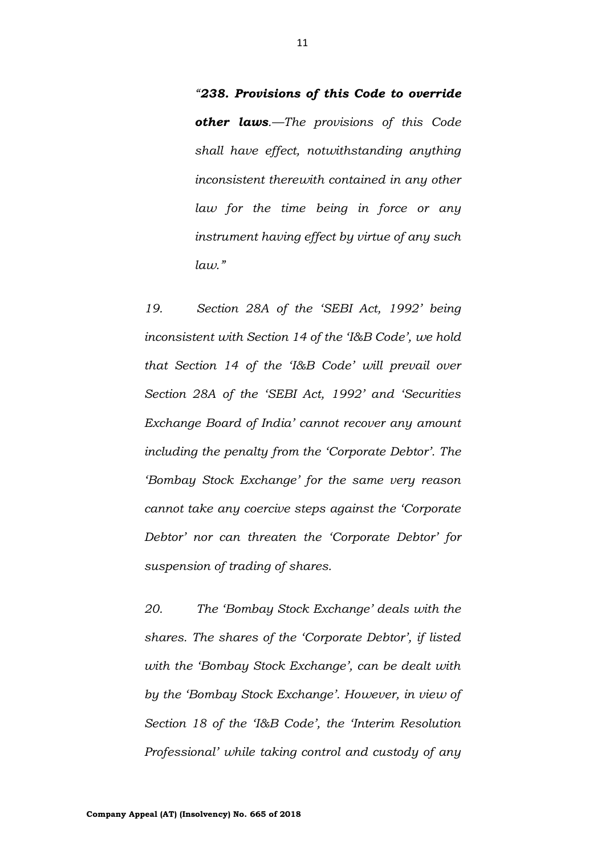*"238. Provisions of this Code to override other laws.—The provisions of this Code shall have effect, notwithstanding anything inconsistent therewith contained in any other law for the time being in force or any instrument having effect by virtue of any such*   $lan.$ "

*19. Section 28A of the 'SEBI Act, 1992' being inconsistent with Section 14 of the 'I&B Code', we hold that Section 14 of the 'I&B Code' will prevail over Section 28A of the 'SEBI Act, 1992' and 'Securities Exchange Board of India' cannot recover any amount including the penalty from the 'Corporate Debtor'. The 'Bombay Stock Exchange' for the same very reason cannot take any coercive steps against the 'Corporate Debtor' nor can threaten the 'Corporate Debtor' for suspension of trading of shares.*

*20. The 'Bombay Stock Exchange' deals with the shares. The shares of the 'Corporate Debtor', if listed with the 'Bombay Stock Exchange', can be dealt with by the 'Bombay Stock Exchange'. However, in view of Section 18 of the 'I&B Code', the 'Interim Resolution Professional' while taking control and custody of any*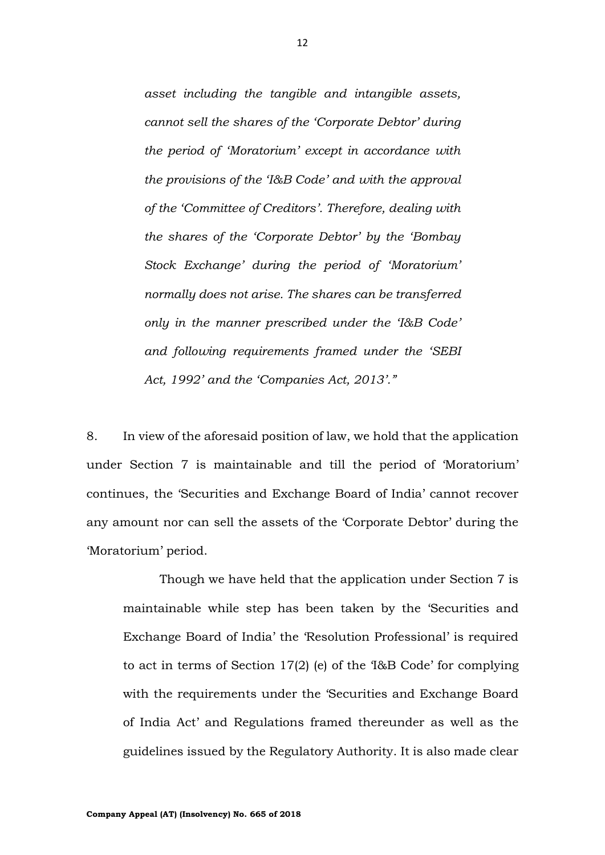*asset including the tangible and intangible assets, cannot sell the shares of the 'Corporate Debtor' during the period of 'Moratorium' except in accordance with the provisions of the 'I&B Code' and with the approval of the 'Committee of Creditors'. Therefore, dealing with the shares of the 'Corporate Debtor' by the 'Bombay Stock Exchange' during the period of 'Moratorium' normally does not arise. The shares can be transferred only in the manner prescribed under the 'I&B Code' and following requirements framed under the 'SEBI Act, 1992' and the 'Companies Act, 2013'."*

8. In view of the aforesaid position of law, we hold that the application under Section 7 is maintainable and till the period of 'Moratorium' continues, the 'Securities and Exchange Board of India' cannot recover any amount nor can sell the assets of the 'Corporate Debtor' during the 'Moratorium' period.

Though we have held that the application under Section 7 is maintainable while step has been taken by the 'Securities and Exchange Board of India' the 'Resolution Professional' is required to act in terms of Section 17(2) (e) of the 'I&B Code' for complying with the requirements under the 'Securities and Exchange Board of India Act' and Regulations framed thereunder as well as the guidelines issued by the Regulatory Authority. It is also made clear